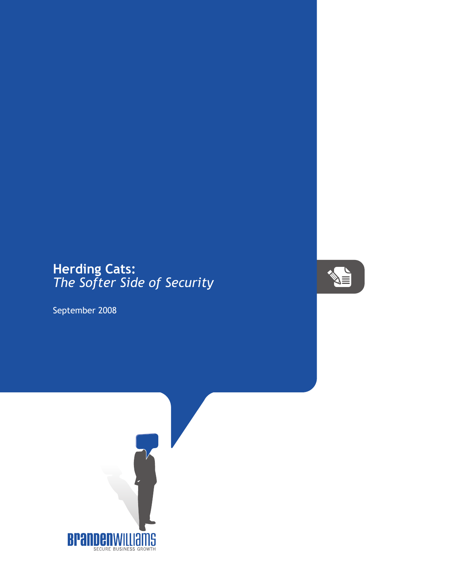## **Herding Cats:** *The Softer Side of Security*

September 2008

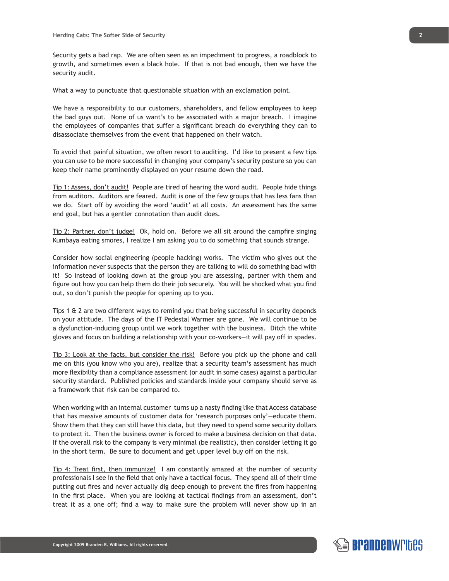Security gets a bad rap. We are often seen as an impediment to progress, a roadblock to growth, and sometimes even a black hole. If that is not bad enough, then we have the security audit.

What a way to punctuate that questionable situation with an exclamation point.

We have a responsibility to our customers, shareholders, and fellow employees to keep the bad guys out. None of us want's to be associated with a major breach. I imagine the employees of companies that suffer a significant breach do everything they can to disassociate themselves from the event that happened on their watch.

To avoid that painful situation, we often resort to auditing. I'd like to present a few tips you can use to be more successful in changing your company's security posture so you can keep their name prominently displayed on your resume down the road.

Tip 1: Assess, don't audit! People are tired of hearing the word audit. People hide things from auditors. Auditors are feared. Audit is one of the few groups that has less fans than we do. Start off by avoiding the word 'audit' at all costs. An assessment has the same end goal, but has a gentler connotation than audit does.

Tip 2: Partner, don't judge! Ok, hold on. Before we all sit around the campfire singing Kumbaya eating smores, I realize I am asking you to do something that sounds strange.

Consider how social engineering (people hacking) works. The victim who gives out the information never suspects that the person they are talking to will do something bad with it! So instead of looking down at the group you are assessing, partner with them and figure out how you can help them do their job securely. You will be shocked what you find out, so don't punish the people for opening up to you.

Tips 1 & 2 are two different ways to remind you that being successful in security depends on your attitude. The days of the IT Pedestal Warmer are gone. We will continue to be a dysfunction-inducing group until we work together with the business. Ditch the white gloves and focus on building a relationship with your co-workers—it will pay off in spades.

Tip 3: Look at the facts, but consider the risk! Before you pick up the phone and call me on this (you know who you are), realize that a security team's assessment has much more flexibility than a compliance assessment (or audit in some cases) against a particular security standard. Published policies and standards inside your company should serve as a framework that risk can be compared to.

When working with an internal customer turns up a nasty finding like that Access database that has massive amounts of customer data for 'research purposes only'—educate them. Show them that they can still have this data, but they need to spend some security dollars to protect it. Then the business owner is forced to make a business decision on that data. If the overall risk to the company is very minimal (be realistic), then consider letting it go in the short term. Be sure to document and get upper level buy off on the risk.

Tip 4: Treat first, then immunize! I am constantly amazed at the number of security professionals I see in the field that only have a tactical focus. They spend all of their time putting out fires and never actually dig deep enough to prevent the fires from happening in the first place. When you are looking at tactical findings from an assessment, don't treat it as a one off; find a way to make sure the problem will never show up in an

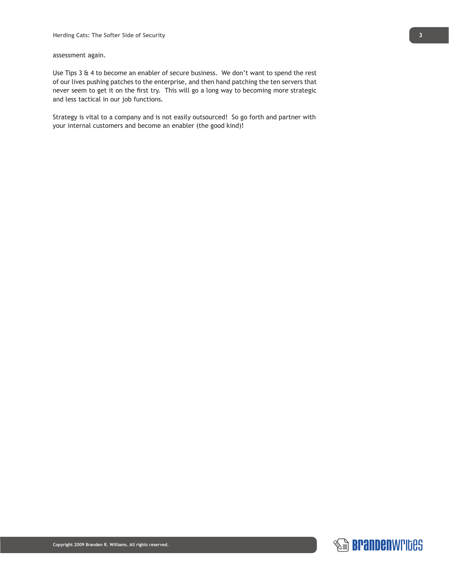assessment again.

Use Tips 3 & 4 to become an enabler of secure business. We don't want to spend the rest of our lives pushing patches to the enterprise, and then hand patching the ten servers that never seem to get it on the first try. This will go a long way to becoming more strategic and less tactical in our job functions.

Strategy is vital to a company and is not easily outsourced! So go forth and partner with your internal customers and become an enabler (the good kind)!